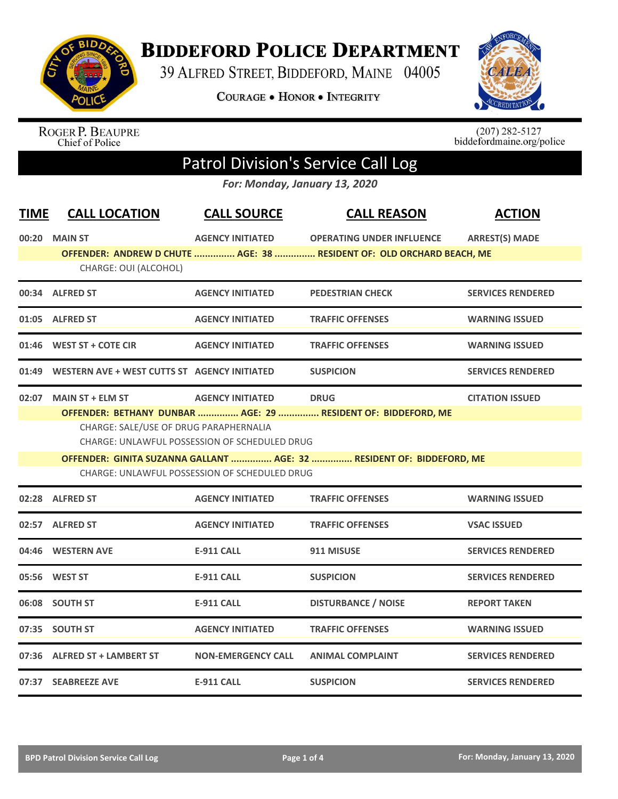

## **BIDDEFORD POLICE DEPARTMENT**

39 ALFRED STREET, BIDDEFORD, MAINE 04005

**COURAGE . HONOR . INTEGRITY** 



ROGER P. BEAUPRE<br>Chief of Police

 $(207)$  282-5127<br>biddefordmaine.org/police

## Patrol Division's Service Call Log

*For: Monday, January 13, 2020*

| <b>TIME</b> | <b>CALL LOCATION</b>                               | <b>CALL SOURCE</b>                                   | <b>CALL REASON</b>                                                    | <b>ACTION</b>            |
|-------------|----------------------------------------------------|------------------------------------------------------|-----------------------------------------------------------------------|--------------------------|
|             | 00:20 MAIN ST                                      | <b>AGENCY INITIATED</b>                              | <b>OPERATING UNDER INFLUENCE</b>                                      | <b>ARREST(S) MADE</b>    |
|             |                                                    |                                                      | OFFENDER: ANDREW D CHUTE  AGE: 38  RESIDENT OF: OLD ORCHARD BEACH, ME |                          |
|             | CHARGE: OUI (ALCOHOL)                              |                                                      |                                                                       |                          |
|             | 00:34 ALFRED ST                                    | <b>AGENCY INITIATED</b>                              | <b>PEDESTRIAN CHECK</b>                                               | <b>SERVICES RENDERED</b> |
|             | 01:05 ALFRED ST                                    | <b>AGENCY INITIATED</b>                              | <b>TRAFFIC OFFENSES</b>                                               | <b>WARNING ISSUED</b>    |
|             | 01:46 WEST ST + COTE CIR                           | <b>AGENCY INITIATED</b>                              | <b>TRAFFIC OFFENSES</b>                                               | <b>WARNING ISSUED</b>    |
|             | 01:49 WESTERN AVE + WEST CUTTS ST AGENCY INITIATED |                                                      | <b>SUSPICION</b>                                                      | <b>SERVICES RENDERED</b> |
|             | 02:07 MAIN ST + ELM ST                             | <b>AGENCY INITIATED</b>                              | <b>DRUG</b>                                                           | <b>CITATION ISSUED</b>   |
|             |                                                    |                                                      | OFFENDER: BETHANY DUNBAR  AGE: 29  RESIDENT OF: BIDDEFORD, ME         |                          |
|             | CHARGE: SALE/USE OF DRUG PARAPHERNALIA             |                                                      |                                                                       |                          |
|             |                                                    | CHARGE: UNLAWFUL POSSESSION OF SCHEDULED DRUG        |                                                                       |                          |
|             |                                                    |                                                      | OFFENDER: GINITA SUZANNA GALLANT  AGE: 32  RESIDENT OF: BIDDEFORD, ME |                          |
|             |                                                    | <b>CHARGE: UNLAWFUL POSSESSION OF SCHEDULED DRUG</b> |                                                                       |                          |
|             | 02:28 ALFRED ST                                    | <b>AGENCY INITIATED</b>                              | <b>TRAFFIC OFFENSES</b>                                               | <b>WARNING ISSUED</b>    |
|             | 02:57 ALFRED ST                                    | <b>AGENCY INITIATED</b>                              | <b>TRAFFIC OFFENSES</b>                                               | <b>VSAC ISSUED</b>       |
|             | 04:46 WESTERN AVE                                  | <b>E-911 CALL</b>                                    | 911 MISUSE                                                            | <b>SERVICES RENDERED</b> |
|             | 05:56 WEST ST                                      | <b>E-911 CALL</b>                                    | <b>SUSPICION</b>                                                      | <b>SERVICES RENDERED</b> |
|             | 06:08 SOUTH ST                                     | <b>E-911 CALL</b>                                    | <b>DISTURBANCE / NOISE</b>                                            | <b>REPORT TAKEN</b>      |
|             | 07:35 SOUTH ST                                     | <b>AGENCY INITIATED</b>                              | <b>TRAFFIC OFFENSES</b>                                               | <b>WARNING ISSUED</b>    |
|             | 07:36 ALFRED ST + LAMBERT ST                       | <b>NON-EMERGENCY CALL</b>                            | <b>ANIMAL COMPLAINT</b>                                               | <b>SERVICES RENDERED</b> |
|             | 07:37 SEABREEZE AVE                                | <b>E-911 CALL</b>                                    | <b>SUSPICION</b>                                                      | <b>SERVICES RENDERED</b> |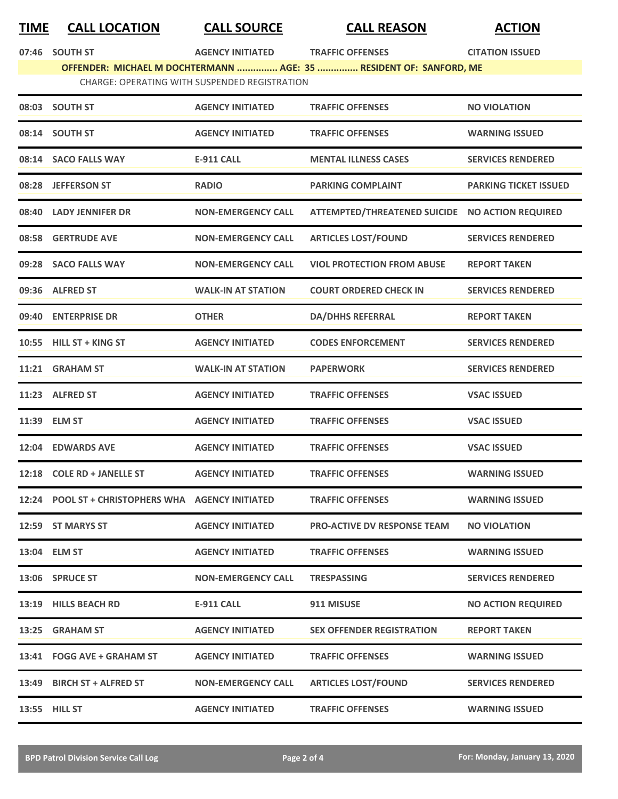## **TIME CALL LOCATION CALL SOURCE CALL REASON ACTION**

**07:46 SOUTH ST AGENCY INITIATED TRAFFIC OFFENSES CITATION ISSUED**

**OFFENDER: MICHAEL M DOCHTERMANN ............... AGE: 35 ............... RESIDENT OF: SANFORD, ME**

CHARGE: OPERATING WITH SUSPENDED REGISTRATION

|       | 08:03 SOUTH ST                                    | <b>AGENCY INITIATED</b>   | <b>TRAFFIC OFFENSES</b>                         | <b>NO VIOLATION</b>          |
|-------|---------------------------------------------------|---------------------------|-------------------------------------------------|------------------------------|
|       | 08:14 SOUTH ST                                    | <b>AGENCY INITIATED</b>   | <b>TRAFFIC OFFENSES</b>                         | <b>WARNING ISSUED</b>        |
|       | 08:14 SACO FALLS WAY                              | <b>E-911 CALL</b>         | <b>MENTAL ILLNESS CASES</b>                     | <b>SERVICES RENDERED</b>     |
|       | 08:28 JEFFERSON ST                                | <b>RADIO</b>              | <b>PARKING COMPLAINT</b>                        | <b>PARKING TICKET ISSUED</b> |
|       | 08:40 LADY JENNIFER DR                            | <b>NON-EMERGENCY CALL</b> | ATTEMPTED/THREATENED SUICIDE NO ACTION REQUIRED |                              |
|       | 08:58 GERTRUDE AVE                                | <b>NON-EMERGENCY CALL</b> | <b>ARTICLES LOST/FOUND</b>                      | <b>SERVICES RENDERED</b>     |
|       | 09:28 SACO FALLS WAY                              | <b>NON-EMERGENCY CALL</b> | <b>VIOL PROTECTION FROM ABUSE</b>               | <b>REPORT TAKEN</b>          |
|       | 09:36 ALFRED ST                                   | <b>WALK-IN AT STATION</b> | <b>COURT ORDERED CHECK IN</b>                   | <b>SERVICES RENDERED</b>     |
|       | 09:40 ENTERPRISE DR                               | <b>OTHER</b>              | <b>DA/DHHS REFERRAL</b>                         | <b>REPORT TAKEN</b>          |
|       | 10:55 HILL ST + KING ST                           | <b>AGENCY INITIATED</b>   | <b>CODES ENFORCEMENT</b>                        | <b>SERVICES RENDERED</b>     |
|       | 11:21 GRAHAM ST                                   | <b>WALK-IN AT STATION</b> | <b>PAPERWORK</b>                                | <b>SERVICES RENDERED</b>     |
|       | 11:23 ALFRED ST                                   | <b>AGENCY INITIATED</b>   | <b>TRAFFIC OFFENSES</b>                         | <b>VSAC ISSUED</b>           |
|       | 11:39 ELM ST                                      | <b>AGENCY INITIATED</b>   | <b>TRAFFIC OFFENSES</b>                         | <b>VSAC ISSUED</b>           |
|       | 12:04 EDWARDS AVE                                 | <b>AGENCY INITIATED</b>   | <b>TRAFFIC OFFENSES</b>                         | <b>VSAC ISSUED</b>           |
|       | 12:18 COLE RD + JANELLE ST                        | <b>AGENCY INITIATED</b>   | <b>TRAFFIC OFFENSES</b>                         | <b>WARNING ISSUED</b>        |
|       | 12:24 POOL ST + CHRISTOPHERS WHA AGENCY INITIATED |                           | <b>TRAFFIC OFFENSES</b>                         | <b>WARNING ISSUED</b>        |
| 12:59 | <b>ST MARYS ST</b>                                | <b>AGENCY INITIATED</b>   | <b>PRO-ACTIVE DV RESPONSE TEAM</b>              | <b>NO VIOLATION</b>          |
|       | 13:04 ELM ST                                      | <b>AGENCY INITIATED</b>   | <b>TRAFFIC OFFENSES</b>                         | <b>WARNING ISSUED</b>        |
|       | 13:06 SPRUCE ST                                   | <b>NON-EMERGENCY CALL</b> | <b>TRESPASSING</b>                              | <b>SERVICES RENDERED</b>     |
|       | 13:19 HILLS BEACH RD                              | E-911 CALL                | 911 MISUSE                                      | <b>NO ACTION REQUIRED</b>    |
|       | 13:25 GRAHAM ST                                   | <b>AGENCY INITIATED</b>   | <b>SEX OFFENDER REGISTRATION</b>                | <b>REPORT TAKEN</b>          |
|       | 13:41 FOGG AVE + GRAHAM ST                        | <b>AGENCY INITIATED</b>   | <b>TRAFFIC OFFENSES</b>                         | <b>WARNING ISSUED</b>        |
|       | 13:49 BIRCH ST + ALFRED ST                        | <b>NON-EMERGENCY CALL</b> | <b>ARTICLES LOST/FOUND</b>                      | <b>SERVICES RENDERED</b>     |
|       | 13:55 HILL ST                                     | <b>AGENCY INITIATED</b>   | <b>TRAFFIC OFFENSES</b>                         | <b>WARNING ISSUED</b>        |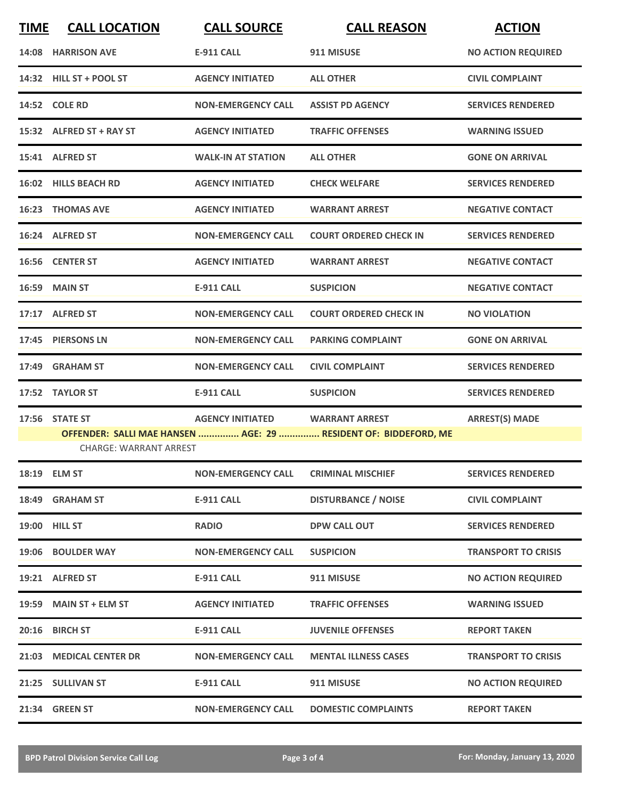| <b>TIME</b> | <b>CALL LOCATION</b>          | <b>CALL SOURCE</b>        | <b>CALL REASON</b>                                                                       | <b>ACTION</b>              |
|-------------|-------------------------------|---------------------------|------------------------------------------------------------------------------------------|----------------------------|
|             | 14:08 HARRISON AVE            | <b>E-911 CALL</b>         | 911 MISUSE                                                                               | <b>NO ACTION REQUIRED</b>  |
|             | 14:32 HILL ST + POOL ST       | <b>AGENCY INITIATED</b>   | <b>ALL OTHER</b>                                                                         | <b>CIVIL COMPLAINT</b>     |
|             | 14:52 COLE RD                 | <b>NON-EMERGENCY CALL</b> | <b>ASSIST PD AGENCY</b>                                                                  | <b>SERVICES RENDERED</b>   |
|             | 15:32 ALFRED ST + RAY ST      | <b>AGENCY INITIATED</b>   | <b>TRAFFIC OFFENSES</b>                                                                  | <b>WARNING ISSUED</b>      |
|             | 15:41 ALFRED ST               | <b>WALK-IN AT STATION</b> | <b>ALL OTHER</b>                                                                         | <b>GONE ON ARRIVAL</b>     |
|             | 16:02 HILLS BEACH RD          | <b>AGENCY INITIATED</b>   | <b>CHECK WELFARE</b>                                                                     | <b>SERVICES RENDERED</b>   |
|             | <b>16:23 THOMAS AVE</b>       | <b>AGENCY INITIATED</b>   | <b>WARRANT ARREST</b>                                                                    | <b>NEGATIVE CONTACT</b>    |
|             | 16:24 ALFRED ST               | <b>NON-EMERGENCY CALL</b> | <b>COURT ORDERED CHECK IN</b>                                                            | <b>SERVICES RENDERED</b>   |
|             | 16:56 CENTER ST               | <b>AGENCY INITIATED</b>   | <b>WARRANT ARREST</b>                                                                    | <b>NEGATIVE CONTACT</b>    |
|             | <b>16:59 MAIN ST</b>          | <b>E-911 CALL</b>         | <b>SUSPICION</b>                                                                         | <b>NEGATIVE CONTACT</b>    |
|             | 17:17 ALFRED ST               | <b>NON-EMERGENCY CALL</b> | <b>COURT ORDERED CHECK IN</b>                                                            | <b>NO VIOLATION</b>        |
| 17:45       | <b>PIERSONS LN</b>            | <b>NON-EMERGENCY CALL</b> | <b>PARKING COMPLAINT</b>                                                                 | <b>GONE ON ARRIVAL</b>     |
| 17:49       | <b>GRAHAM ST</b>              | <b>NON-EMERGENCY CALL</b> | <b>CIVIL COMPLAINT</b>                                                                   | <b>SERVICES RENDERED</b>   |
| 17:52       | <b>TAYLOR ST</b>              | <b>E-911 CALL</b>         | <b>SUSPICION</b>                                                                         | <b>SERVICES RENDERED</b>   |
|             | 17:56 STATE ST                | <b>AGENCY INITIATED</b>   | <b>WARRANT ARREST</b><br>OFFENDER: SALLI MAE HANSEN  AGE: 29  RESIDENT OF: BIDDEFORD, ME | <b>ARREST(S) MADE</b>      |
|             | <b>CHARGE: WARRANT ARREST</b> |                           |                                                                                          |                            |
|             | 18:19 ELM ST                  | <b>NON-EMERGENCY CALL</b> | <b>CRIMINAL MISCHIEF</b>                                                                 | <b>SERVICES RENDERED</b>   |
|             | 18:49 GRAHAM ST               | <b>E-911 CALL</b>         | <b>DISTURBANCE / NOISE</b>                                                               | <b>CIVIL COMPLAINT</b>     |
|             | 19:00 HILL ST                 | <b>RADIO</b>              | DPW CALL OUT                                                                             | <b>SERVICES RENDERED</b>   |
|             | 19:06 BOULDER WAY             | <b>NON-EMERGENCY CALL</b> | <b>SUSPICION</b>                                                                         | <b>TRANSPORT TO CRISIS</b> |
|             | 19:21 ALFRED ST               | E-911 CALL                | 911 MISUSE                                                                               | <b>NO ACTION REQUIRED</b>  |
|             | 19:59 MAIN ST + ELM ST        | <b>AGENCY INITIATED</b>   | <b>TRAFFIC OFFENSES</b>                                                                  | <b>WARNING ISSUED</b>      |
|             | 20:16 BIRCH ST                | <b>E-911 CALL</b>         | <b>JUVENILE OFFENSES</b>                                                                 | <b>REPORT TAKEN</b>        |
|             | 21:03 MEDICAL CENTER DR       | <b>NON-EMERGENCY CALL</b> | <b>MENTAL ILLNESS CASES</b>                                                              | <b>TRANSPORT TO CRISIS</b> |
|             | 21:25 SULLIVAN ST             | <b>E-911 CALL</b>         | 911 MISUSE                                                                               | <b>NO ACTION REQUIRED</b>  |
|             | 21:34 GREEN ST                | <b>NON-EMERGENCY CALL</b> | <b>DOMESTIC COMPLAINTS</b>                                                               | <b>REPORT TAKEN</b>        |